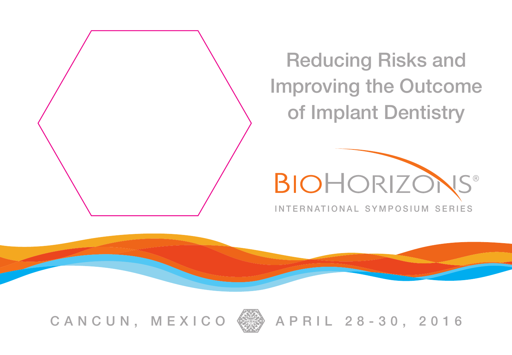

Reducing Risks and Improving the Outcome of Implant Dentistry





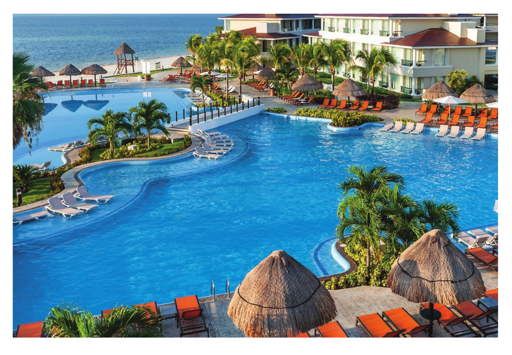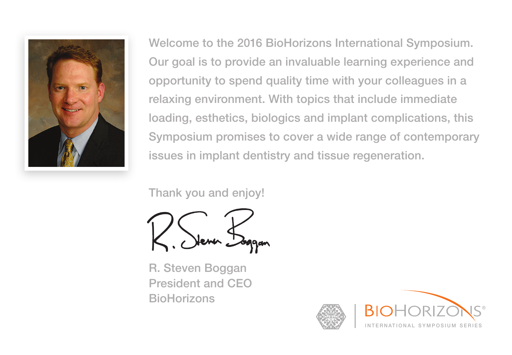

Welcome to the 2016 BioHorizons International Symposium. Our goal is to provide an invaluable learning experience and opportunity to spend quality time with your colleagues in a relaxing environment. With topics that include immediate loading, esthetics, biologics and implant complications, this Symposium promises to cover a wide range of contemporary issues in implant dentistry and tissue regeneration.

Thank you and enjoy!

R. Steven Boggan President and CEO **BioHorizons** 

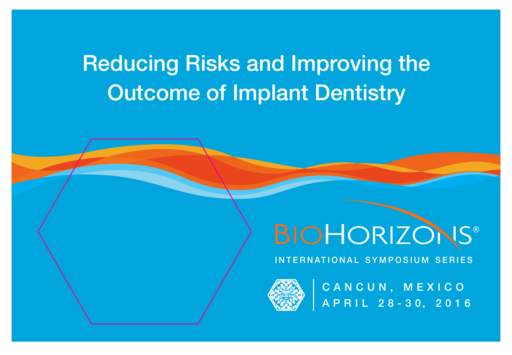## Reducing Risks and Improving the Outcome of Implant Dentistry

# **BIOHORIZONS®**

INTERNATIONAL SYMPOSIUM SERIES



CANCUN, MEXICO APRIL 28-3 0, 2016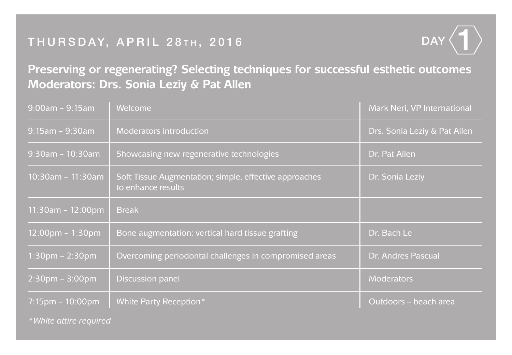## THURSDAY, APRIL 28TH, 2016



## **Preserving or regenerating? Selecting techniques for successful esthetic outcomes Moderators: Drs. Sonia Leziy & Pat Allen**

| $9:00am - 9:15am$                  | Welcome                                                                      | Mark Neri, VP International  |
|------------------------------------|------------------------------------------------------------------------------|------------------------------|
| $9:15$ am – $9:30$ am              | Moderators introduction                                                      | Drs. Sonia Leziy & Pat Allen |
| $9:30$ am - 10:30am                | Showcasing new regenerative technologies                                     | Dr. Pat Allen                |
| 10:30am - 11:30am                  | Soft Tissue Augmentation; simple, effective approaches<br>to enhance results | Dr. Sonia Leziy              |
| $11:30am - 12:00pm$                | <b>Break</b>                                                                 |                              |
| $12:00$ pm - 1:30pm                | Bone augmentation: vertical hard tissue grafting                             | Dr. Bach Le                  |
| $1:30$ pm – 2:30pm                 | Overcoming periodontal challenges in compromised areas                       | Dr. Andres Pascual           |
| $2:30$ pm – $3:00$ pm              | <b>Discussion panel</b>                                                      | <b>Moderators</b>            |
| $7:15 \text{pm} - 10:00 \text{pm}$ | White Party Reception*                                                       | Outdoors - beach area        |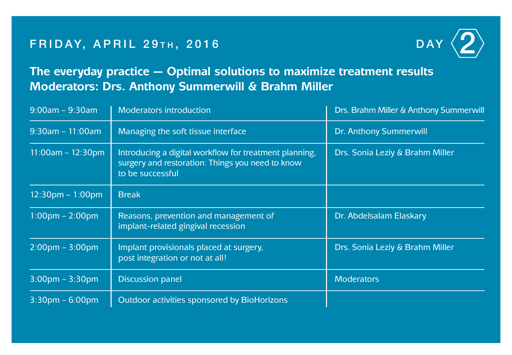## **FRIDAY, APRIL 29TH, 2016**



## **The everyday practice — Optimal solutions to maximize treatment results Moderators: Drs. Anthony Summerwill & Brahm Miller**

| $9:00am - 9:30am$                  | <b>Moderators introduction</b>                                                                                                 | Drs. Brahm Miller & Anthony Summerwill |
|------------------------------------|--------------------------------------------------------------------------------------------------------------------------------|----------------------------------------|
| $9:30$ am – 11:00am                | Managing the soft tissue interface                                                                                             | Dr. Anthony Summerwill                 |
| $11:00am - 12:30pm$                | Introducing a digital workflow for treatment planning,<br>surgery and restoration: Things you need to know<br>to be successful | Drs. Sonia Leziy & Brahm Miller        |
| $12:30 \text{pm} - 1:00 \text{pm}$ | <b>Break</b>                                                                                                                   |                                        |
| $1:00 \text{pm} - 2:00 \text{pm}$  | Reasons, prevention and management of<br>implant-related gingival recession                                                    | Dr. Abdelsalam Elaskary                |
| $2:00$ pm – $3:00$ pm              | Implant provisionals placed at surgery,<br>post integration or not at all!                                                     | Drs. Sonia Leziy & Brahm Miller        |
| $3:00$ pm – $3:30$ pm              | <b>Discussion panel</b>                                                                                                        | <b>Moderators</b>                      |
| $3:30$ pm – 6:00pm                 | Outdoor activities sponsored by BioHorizons                                                                                    |                                        |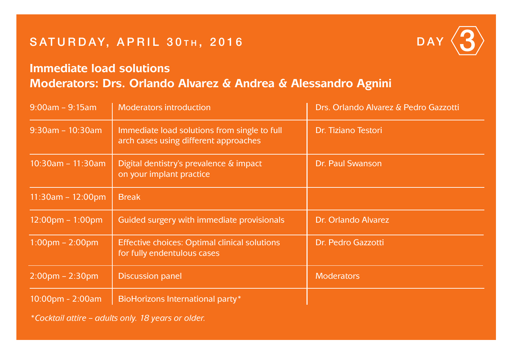## SATURDAY, APRIL 30TH, 2016



## **Immediate load solutions Moderators: Drs. Orlando Alvarez & Andrea & Alessandro Agnini**

| $9:00am - 9:15am$                  | <b>Moderators introduction</b>                                                        | Drs. Orlando Alvarez & Pedro Gazzotti |
|------------------------------------|---------------------------------------------------------------------------------------|---------------------------------------|
| $9:30$ am – 10:30am                | Immediate load solutions from single to full<br>arch cases using different approaches | Dr. Tiziano Testori                   |
| $10:30$ am – 11:30am               | Digital dentistry's prevalence & impact<br>on your implant practice                   | <b>Dr. Paul Swanson</b>               |
| $11:30am - 12:00pm$                | <b>Break</b>                                                                          |                                       |
| $12:00 \text{pm} - 1:00 \text{pm}$ | Guided surgery with immediate provisionals                                            | Dr. Orlando Alvarez                   |
| $1:00 \text{pm} - 2:00 \text{pm}$  | Effective choices: Optimal clinical solutions<br>for fully endentulous cases          | Dr. Pedro Gazzotti                    |
| $2:00$ pm – 2:30pm                 | <b>Discussion panel</b>                                                               | <b>Moderators</b>                     |
| $10:00$ pm - 2:00am                | BioHorizons International party*                                                      |                                       |

*\*Cocktail attire – adults only. 18 years or older.*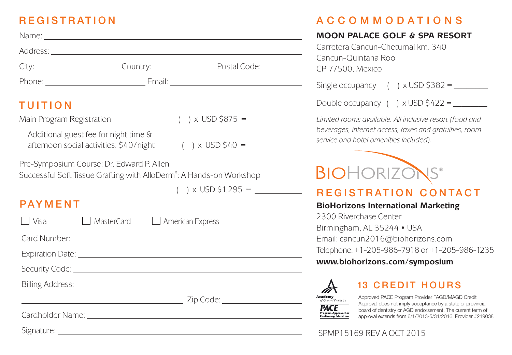## REGISTRATION

Signature:

| <b>TUITION</b>                        |                                           |                                                                                                                |  |  |
|---------------------------------------|-------------------------------------------|----------------------------------------------------------------------------------------------------------------|--|--|
| Main Program Registration             |                                           |                                                                                                                |  |  |
| Additional guest fee for night time & |                                           |                                                                                                                |  |  |
|                                       | Pre-Symposium Course: Dr. Edward P. Allen | Successful Soft Tissue Grafting with AlloDerm <sup>®</sup> : A Hands-on Workshop                               |  |  |
|                                       |                                           |                                                                                                                |  |  |
| PAYMENT                               |                                           |                                                                                                                |  |  |
| <b>Visa</b>                           |                                           | MasterCard American Express                                                                                    |  |  |
|                                       |                                           |                                                                                                                |  |  |
|                                       |                                           |                                                                                                                |  |  |
|                                       |                                           |                                                                                                                |  |  |
|                                       |                                           |                                                                                                                |  |  |
|                                       |                                           |                                                                                                                |  |  |
|                                       |                                           | Cardholder Name: 1988 (2008) 2014 12:00:00 12:00:00 12:00:00 12:00:00 12:00:00 12:00:00 12:00:00 12:00:00 12:0 |  |  |

### ACCOMMODATIONS

#### **MOON PALACE GOLF & SPA RESORT**

Carretera Cancun-Chetumal km. 340 Cancun-Quintana Roo CP 77500, Mexico

Single occupancy ( ) x USD \$382 = \_\_\_\_\_\_\_\_

Double occupancy  $( ) x$  USD \$422 =

*Limited rooms available. All inclusive resort (food and beverages, internet access, taxes and gratuities, room service and hotel amenities included).*



### REGISTRATION CONTACT

#### **BioHorizons International Marketing**

2300 Riverchase Center Birmingham, AL 35244 • USA Email: cancun2016@biohorizons.com Telephone: +1-205-986-7918 or +1-205-986-1235

#### **www.biohorizons.com/symposium**



## 13 CREDIT HOURS

Approved PACE Program Provider FAGD/MAGD Credit Approval does not imply acceptance by a state or provincial board of dentistry or AGD endorsement. The current term of approval extends from 6/1/2013-5/31/2016. Provider #219038

#### SPMP15169 REV A OCT 2015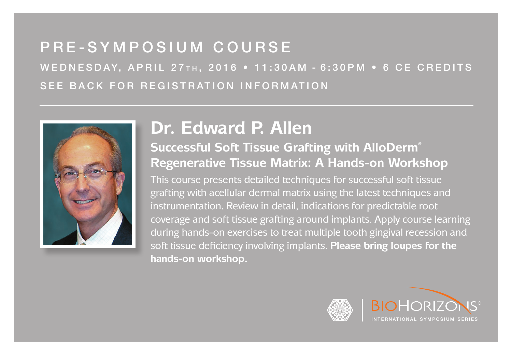## PRE-SYMPOSIUM COURSE

WEDNESDAY, APRIL 27TH, 2016 . 11:30AM - 6:30PM . 6 CE CREDITS SEE BACK FOR REGISTRATION INFORMATION



## **Dr. Edward P. Allen**

## **Successful Soft Tissue Grafting with AlloDerm® Regenerative Tissue Matrix: A Hands-on Workshop**

This course presents detailed techniques for successful soft tissue grafting with acellular dermal matrix using the latest techniques and instrumentation. Review in detail, indications for predictable root coverage and soft tissue grafting around implants. Apply course learning during hands-on exercises to treat multiple tooth gingival recession and soft tissue deficiency involving implants. **Please bring loupes for the hands-on workshop.**